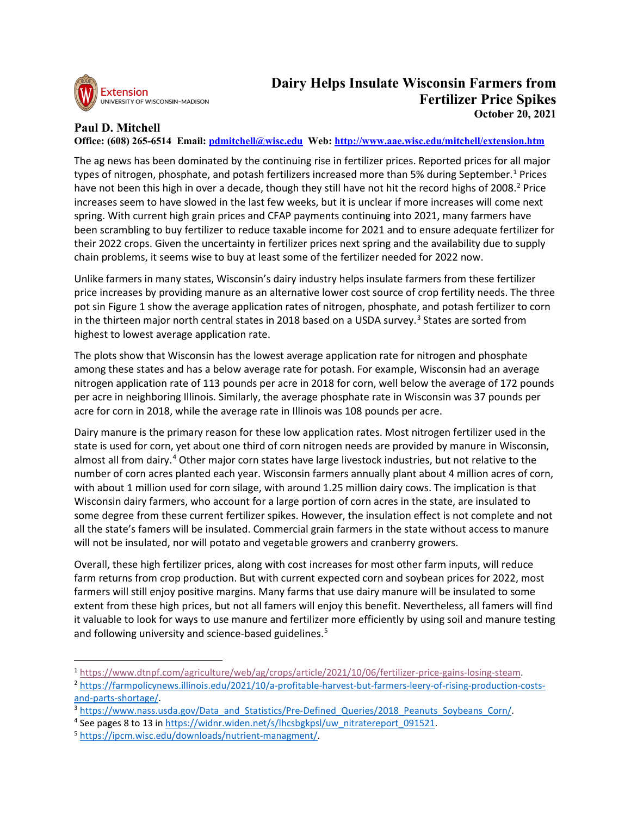

## **Paul D. Mitchell**

**Office: (608) 265-6514 Email: [pdmitchell@wisc.edu](mailto:pdmitchell@wisc.edu) Web:<http://www.aae.wisc.edu/mitchell/extension.htm>**

The ag news has been dominated by the continuing rise in fertilizer prices. Reported prices for all major types of nitrogen, phosphate, and potash fertilizers increased more than 5% during September.<sup>[1](#page-0-0)</sup> Prices have not been this high in over a decade, though they still have not hit the record highs of [2](#page-0-1)008.<sup>2</sup> Price increases seem to have slowed in the last few weeks, but it is unclear if more increases will come next spring. With current high grain prices and CFAP payments continuing into 2021, many farmers have been scrambling to buy fertilizer to reduce taxable income for 2021 and to ensure adequate fertilizer for their 2022 crops. Given the uncertainty in fertilizer prices next spring and the availability due to supply chain problems, it seems wise to buy at least some of the fertilizer needed for 2022 now.

Unlike farmers in many states, Wisconsin's dairy industry helps insulate farmers from these fertilizer price increases by providing manure as an alternative lower cost source of crop fertility needs. The three pot sin Figure 1 show the average application rates of nitrogen, phosphate, and potash fertilizer to corn in the thirteen major north central states in 2018 based on a USDA survey. [3](#page-0-2) States are sorted from highest to lowest average application rate.

The plots show that Wisconsin has the lowest average application rate for nitrogen and phosphate among these states and has a below average rate for potash. For example, Wisconsin had an average nitrogen application rate of 113 pounds per acre in 2018 for corn, well below the average of 172 pounds per acre in neighboring Illinois. Similarly, the average phosphate rate in Wisconsin was 37 pounds per acre for corn in 2018, while the average rate in Illinois was 108 pounds per acre.

Dairy manure is the primary reason for these low application rates. Most nitrogen fertilizer used in the state is used for corn, yet about one third of corn nitrogen needs are provided by manure in Wisconsin, almost all from dairy.<sup>[4](#page-0-3)</sup> Other major corn states have large livestock industries, but not relative to the number of corn acres planted each year. Wisconsin farmers annually plant about 4 million acres of corn, with about 1 million used for corn silage, with around 1.25 million dairy cows. The implication is that Wisconsin dairy farmers, who account for a large portion of corn acres in the state, are insulated to some degree from these current fertilizer spikes. However, the insulation effect is not complete and not all the state's famers will be insulated. Commercial grain farmers in the state without access to manure will not be insulated, nor will potato and vegetable growers and cranberry growers.

Overall, these high fertilizer prices, along with cost increases for most other farm inputs, will reduce farm returns from crop production. But with current expected corn and soybean prices for 2022, most farmers will still enjoy positive margins. Many farms that use dairy manure will be insulated to some extent from these high prices, but not all famers will enjoy this benefit. Nevertheless, all famers will find it valuable to look for ways to use manure and fertilizer more efficiently by using soil and manure testing and following university and science-based guidelines.<sup>[5](#page-0-4)</sup>

<span id="page-0-0"></span><sup>1</sup> [https://www.dtnpf.com/agriculture/web/ag/crops/article/2021/10/06/fertilizer-price-gains-losing-steam.](https://www.dtnpf.com/agriculture/web/ag/crops/article/2021/10/06/fertilizer-price-gains-losing-steam)

<span id="page-0-1"></span><sup>2</sup> [https://farmpolicynews.illinois.edu/2021/10/a-profitable-harvest-but-farmers-leery-of-rising-production-costs](https://farmpolicynews.illinois.edu/2021/10/a-profitable-harvest-but-farmers-leery-of-rising-production-costs-and-parts-shortage/)[and-parts-shortage/.](https://farmpolicynews.illinois.edu/2021/10/a-profitable-harvest-but-farmers-leery-of-rising-production-costs-and-parts-shortage/)

<span id="page-0-2"></span><sup>&</sup>lt;sup>3</sup> [https://www.nass.usda.gov/Data\\_and\\_Statistics/Pre-Defined\\_Queries/2018\\_Peanuts\\_Soybeans\\_Corn/.](https://www.nass.usda.gov/Data_and_Statistics/Pre-Defined_Queries/2018_Peanuts_Soybeans_Corn/)

<span id="page-0-3"></span><sup>&</sup>lt;sup>4</sup> See pages 8 to 13 in https://widnr.widen.net/s/lhcsbgkpsl/uw\_nitratereport\_091521.<br><sup>5</sup> [https://ipcm.wisc.edu/downloads/nutrient-managment/.](https://ipcm.wisc.edu/downloads/nutrient-managment/)

<span id="page-0-4"></span>